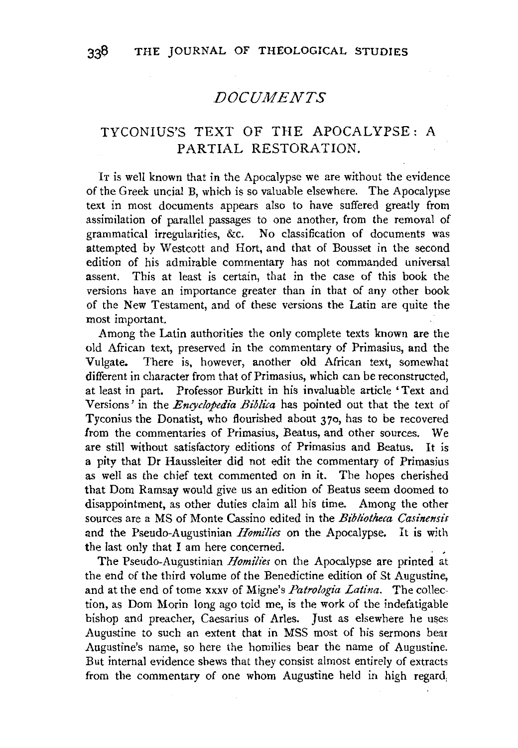### *DOCUMENTS*

### TYCONIUS'S TEXT OF THE APOCALYPSE: A PARTIAL RESTORATION.

IT is well known that in the Apocalypse we are without the evidence of the Greek uncial B, which is so valuable elsewhere. The Apocalypse text in most documents appears also to have suffered greatly from assimilation of parallel passages to one another, from the removal of grammatical irregularities, &c. No classification of documents was attempted by Westcott and Hort, and that of Bousset in the second edition of his admirable commentary has not commanded universal assent. This at least is certain, that in the case of this book the versions have an importance greater than in that of any other book of the New Testament, and of these versions the Latin are quite the most important.

Among the Latin authorities the only complete texts known are the old African text, preserved in the commentary of Primasius, and the Vulgate. There is, however, another old African text, somewhat different in character from that of Primasius, which can be reconstructed, at least in part. Professor Burkitt in his invaluable article 'Text and Versions' in the *Encyclopedia Biblica* has pointed out that the text of Tyconius the Donatist, who flourished about 370, has to be recovered from the commentaries of Primasius, Beatus, and other sources. We are still without satisfactory editions of Primasius and Beatus. It is a pity that Dr Haussleiter did not edit the commentary of Primasius as well as the chief text commented on in it. The hopes cherished that Dom Ramsay would give us an edition of Beatus seem doomed to disappointment, as other duties claim all his time. Among the other sources are a MS of Monte Cassino edited in the *Bibliotheca Casinensis* and the Pseudo-Augustinian *Homilies* on the Apocalypse. It is with the last only that I am here concerned.

The Pseudo-Augustinian *Homilies* on the Apocalypse are printed at the end of the third volume of the Benedictine edition of St Augustine, and at the end of tome xxxv of Migne's *Patrologia Latina.* The collection, as Dom Morin long ago told me, is the work of the indefatigable bishop and preacher, Caesarius of Aries. Just as elsewhere he uses Augustine to such an extent that in MSS most of his sermons bear Augustine's name, so here the homilies bear the name of Augustine. But internal evidence shews that they consist almost entirely of extracts from the commentary of one whom Augustine held in high regard,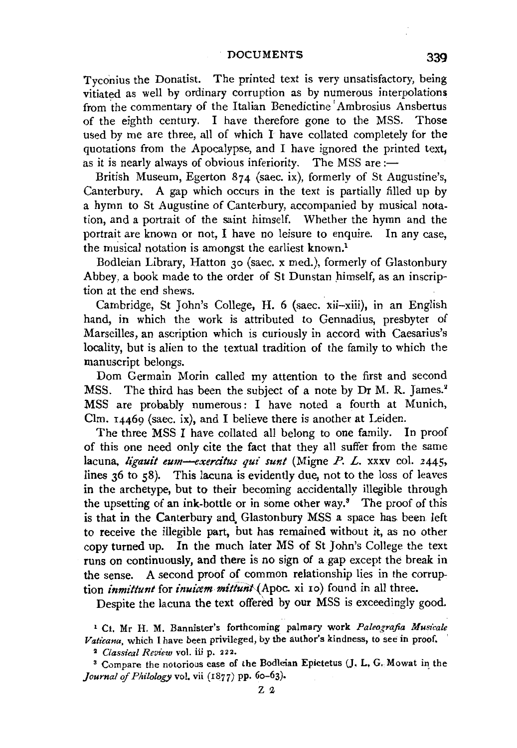### DOCUMENTS 339

Tyconius the Donatist. The printed text is very unsatisfactory, being vitiated as well by ordinary corruption as by numerous interpolations from the commentary of the Italian Benedictine Ambrosius Ansbertus of the eighth century. I have therefore gone to the MSS. Those used by me are three, all of which I have collated completely for the quotations from the Apocalypse, and I have ignored the printed text, as it is nearly always of obvious inferiority. The MSS are :-

British Museum, Egerton 874 (saec. ix), formerly of St Augustine's, Canterbury. A gap which occurs in the text is partially filled up by a hymn to St Augustine of Canterbury, accompanied by musical notation, and a portrait of the saint himself. Whether the hymn and the portrait are known or not, I have no leisure to enquire. In any case, the musical notation is amongst the earliest known.<sup>1</sup>

Bodleian Library, Hatton 30 (saec. x med.), formerly of Glastonbury Abbey, a book made to the order of St Dunstan himself, as an inscription at the end shews.

Cambridge, St John's College, H. 6 (saec. xii-xiii), in an English hand, in which the work is attributed to Gennadius, presbyter of Marseilles, an ascription which is curiously in accord with Caesarius's locality, but is alien to the textual tradition of the family to which the manuscript belongs.

Dom Germain Morin called my attention to the first and second MSS. The third has been the subject of a note by Dr M. R. James.<sup>2</sup> MSS are probably numerous: I have noted a fourth at Munich, Clm. 14469 (saec. ix), and I believe there is another at Leiden.

The three MSS I have collated all belong to one family. In proof of this one need only cite the fact that they all suffer from the same lacuna, *ligauit eum-exercitus qui sunt* (Migne *P.* L. xxxv col. 2445, lines 36 to 58). This lacuna is evidently due, not to the loss of leaves in the archetype, but to their becoming accidentally illegible through the upsetting of an ink-bottle or in some other way.<sup>3</sup> The proof of this is that in the Canterbury and, Glastonbury MSS a space has been left to receive the illegible part, but has remained without it, as no other copy turned up. In the much later MS of St John's College the text runs on continuously, and there is no sign of a gap except the break in the sense. A second proof of common relationship lies in the corruption *inmittunt* for *inuicem mittunt* (Apoc. xi 10) found in all three.

Despite the lacuna the text offered by our MSS is exceedingly good.

<sup>1</sup> Ct. Mr H. M. Bannister's forthcoming palmary work Paleografia Musicale *Vatt'cana,* which I have been privileged, by the author's kindness, to see in proof. '

<sup>2</sup> *Classical Review* vol. iii p. 222.

<sup>3</sup> Compare the notorious case of the Bodleian Epictetus (J. L. G. Mowat in the *journal* of *Philology* vol. vii (1877) pp. 6o-63).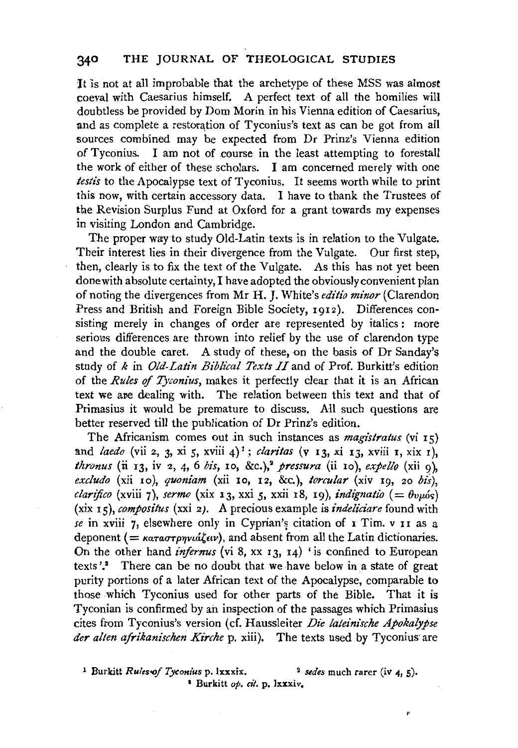It is not at all improbable that the archetype of these MSS was almost coeval with Caesarius himself. A perfect text of all the homilies will doubtless be provided by Dom Morin in his Vienna edition of Caesarius, and as complete a restoration of Tyconius's text as can be got from all sources combined may be expected from Dr Prinz's Vienna edition of Tyconius. I am not of .course in the least attempting to forestall the work of either of these scholars. I am concerned merely with one *testis* to the Apocalypse text of Tyconius. It seems worth while to print this now, with certain accessory data. I have to thank the Trustees of the Revision Surplus Fund at Oxford for a grant towards my expenses in visiting London and Cambridge.

The proper way to study Old-Latin texts is in relation to the Vulgate. Their interest lies in their divergence from the Vulgate. Our first step, then, clearly is to fix the text of the Vulgate. As this has not yet been done with absolute certainty, I have adopted the obviously convenient plan of noting the divergences from Mr H. J. White's *editio minor* (Clarendon Press and British and Foreign Bible Society, I9I2). Differences consisting merely in changes of order are represented by italics: more serious differences are thrown into relief by the use of clarendon type and the double caret. A study of these, on the basis of Dr Sanday's study of *k* in *Old-Latin Biblical Texts II* and of Prof. Burkitt's edition of the *Rules of Tyconius,* makes it perfectly clear that it is an African text we are dealing with. The relation between this text and that of Primasius it would be premature to discuss. All such questions are better reserved till the publication of Dr Prinz's edition.

The Africanism comes out in such instances as *magistratus* (vi IS) and *laedo* (vii 2, 3, xi 5, xviii 4)<sup>1</sup>; *claritas* (v 13, xi 13, xviii 1, xix 1), *thronus* (ii 13, iv 2, 4, 6 *bis*, 10, &c.),<sup>2</sup> *pressura* (ii 10), *expello* (xii 9), *excludo* (xii 10), *quoniam* (xii 10, 12, &c.), *torcular* (xiv 19, 20 bis),  $\vec{c}$ *clarifico* (xviii 7), *sermo* (xix 13, xxi 5, xxii 18, 19), *indignatio* (=  $\theta v \mu_0$ s) (xix IS), *compositus* (xxi 2). A precious example is *indeliciare* found with *se* in xviii 7, elsewhere only in Cyprian's citation of I Tim. v II as a deponent  $( = \kappa a \tau a \sigma \tau \rho \eta \nu a \zeta \epsilon \nu)$ , and absent from all the Latin dictionaries. On the other hand *infernus* (vi 8, xx 13, 14) 'is confined to European texts '.3 There can be no doubt that we have below in a state of great purity portions of a later African text of the Apocalypse, comparable to those which Tyconius used for other parts of the Bible. That it is Tyconian is confirmed by an inspection of the passages which Primasius cites from Tyconius's version (cf. Haussleiter *Die lateinische Ajokalypse*  der alten afrikanischen Kirche p. xiii). The texts used by Tyconius are

1 Burkitt *Rules <OJ Tyconius* p. lxxxix. 2 *sedes* much rarer (iv 4, 5). 1 Burkitt *op. cit.* p. lxxxiv,

p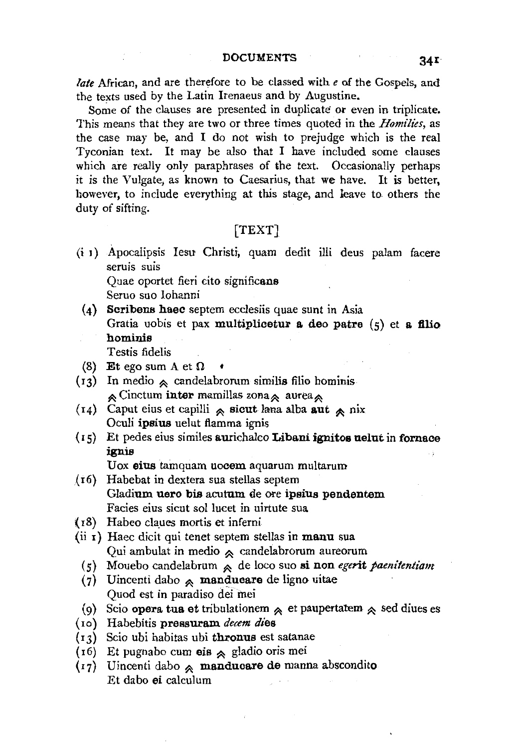#### DOCUMENTS

*late* African, and are therefore to be classed with *e* of the Gospels, and the texts used by the Latin Irenaeus and by Augustine.

Some of the clauses are presented in duplicate or even in triplicate. This means that they are two or three times quoted in the *Homilies*, as the case may be, and I do not wish to prejudge which is the real Tyconian text. It may be also that I have included some clauses which are really only paraphrases of the text. Occasionally perhaps it is the Vulgate, as known to Caesarius, that we have. It is better, however, to include everything at this stage, and leave to. others the duty of sifting.

### $[TEXT]$

(i 1) Apocalipsis Iesu Christi, quam dedit illi deus palam facere seruis suis

Quae oportet fieri cito significans

Seruo suo lohanni

(4) Scribens haec septem ecclesiis quae sunt in Asia Gratia uobis et pax multiplicetur a deo patre  $(5)$  et a filio hominis

Testis fidelis

(8) Et ego sum A et  $\Omega$ 

- (13) In medio  $\otimes$  candelabrorum similis filio hominis  $\triangle$  Cinctum inter mamillas zona $\triangle$  aurea $\triangle$
- (14) Caput eius et capilli  $\triangle$  sicut lana alba aut  $\triangle$  nix Oculi ipsius uelut flamma ignis
- $(I_5)$  Et pedes eius similes aurichalco Libani ignitos uelut in fornace ignis

*Vox* eius tainquam uocem aquarum multarum

- (16) Habebat in dextera sua stellas septem Gladium uero bis acutum de ore ipsius pendentem Facies eius sicut sol lucet in uirtute sua
- $(18)$  Habeo claues mortis et inferni
- $(iii)$  Haec dicit qui tenet septem stellas in manu sua Qui ambulat in medio  $\alpha$  candelabrorum aureorum
	- (5) Mouebo candelabrum ~ de loco suo si non *egerit paenitentiam*
	- (7) Uincenti dabo  $\wedge$  manducare de ligno uitae Quod est in paradiso dei mei
- (9) Scio opera tua et tribulationem  $\alpha$  et paupertatem  $\alpha$  sed diues es
- (1o) Habebitis pressuram *decem dies*
- (13) Scio ubi habitas ubi thronus est satanae
- (16) Et pugnabo cum eis  $\alpha$  gladio oris mei
- $(17)$  Uincenti dabo  $\alpha$  manducare de manna abscondito Et dabo ei calculum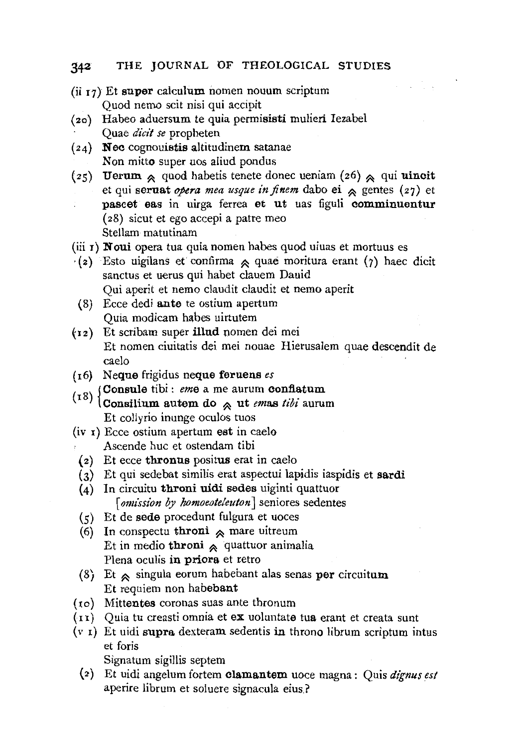- (ii  $17$ ) Et super calculum nomen nouum scriptum Quod nemo scit nisi qui accipit
- (2o) Habeo aduersum te quia permisisti mulieri Iezabel Quae *dicit se* propheten
- (24) Nee cognouistis altitudinem satanae Non mitto super uos aliud pondus
- (25) Uerum  $\alpha$  quod habetis tenete donec ueniam (26)  $\alpha$  qui uincit et qui seruat *opera mea usque in finem* dabo ei  $\alpha$  gentes (27) et pascet eas in uirga ferrea et ut uas figuli comminuentur (28) sicut et ego accepi a patre meo Stellam matutinam
- (iii x) Noui opera tua quia nomen habes quod uiuas et mortuus es
- $(2)$  Esto uigilans et confirma  $\alpha$  quae moritura erant (7) haec dicit sanctus et uerus qui habet clauem Dauid Qui aperit et nemo claudit claudit et nemo aperit
- (8) Ecce dedi ante te ostium apertum Quia modicam habes uirtutem
- (12) Et scribam super illud nomen dei mei Et nomen ciuitatis dei mei nouae Hierusalem quae descendit de caelo
- (x6) Neque frigidus neque feruens *es*
- $(18)$  (Consule tibi : *em*e a me aurum conflatum<br>Consilium autem do  $\sim$  ut *emas tibi* aurum Et collyrio inunge oculos tuos
- $(iv, r)$  Ecce ostium apertum est in caelo Ascende hue et ostendam tibi
	- (2) Et ecce tbronus positus erat in caelo
	- (3) Et qui sedebat similis erat aspectui lapidis iaspidis et sardi
	- (4) In circuitu throni uidi aedes uiginti quattuor [*omission by homoeoteleuton*] seniores sedentes
	- (5) Et de sede procedunt fulgura et uoces
	- (6) In conspectu throni  $\alpha$  mare uitreum Et in medio throni  $\alpha$  quattuor animalia Plena oculis in priora et retro
	- (8) Et  $\alpha$  singula eorum habebant alas senas per circuitum Et requiem non habebant
- (to) Mittentes coronas suas ante thronum
- (II) Quia tu creasti omnia et ex uoluntate tua erant et creata sunt
- $(v, r)$  Et uidi supra dexteram sedentis in throno librum scriptum intus et foris
	- Signatum sigillis septem
	- (2) Et uidi angelum fortem clamantem uoce magna: Quis *dignus est* aperire librum et soluere signacula eius}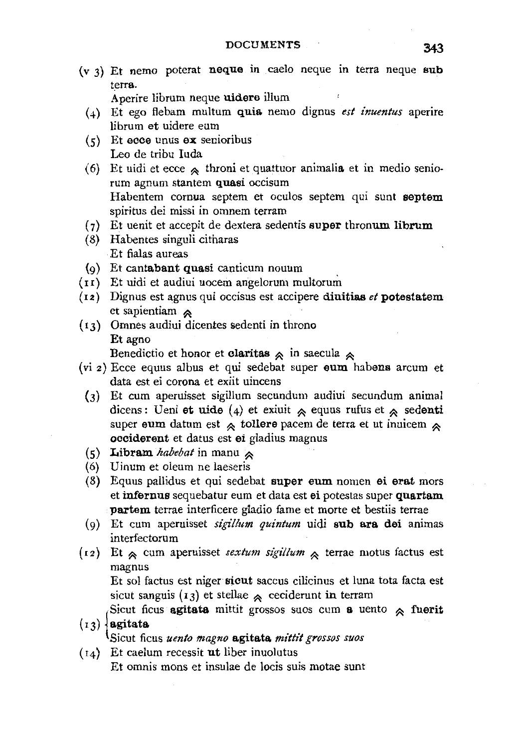$(v, 3)$  Et nemo poterat neque in caelo neque in terra neque sub terra.

Aperire librum neque uidere ilium

- (4) Et ego flebam multum quia nemo dignus *est inuentus* aperire librum et uidere eum
- $(5)$  Et ecce unus ex senioribus Leo de tribu Iuda
- (6) Et uidi et ecce  $\infty$  throni et quattuor animalia et in medio seniorum agnum stantem quasi occisum Habentem cornua septem et oculos septem qui sunt septem spiritus dei missi in omnem terram
- ( 7) Et uenit et accepit de dextera sedentis super thronum librum
- (8) Habentes singuli citharas Et fialas aureas
- (9) Et cantabant quasi canticum nouum
- (u) Et uidi et audiui uocem angelorum multorum
- ( 12) Dignus est agnus qui occisus est accipere diuitias *et* potestatem et sapientiam  $\infty$
- ( 13) Omnes audiui dicentes sedenti in throno Et agno

Benedictio et honor et claritas  $\alpha$  in saecula  $\alpha$ 

- (vi 2) Ecce equus albus et qui sedebat super eum habens arcum et data est ei corona et exiit uincens
	- (3) Et cum aperuisset sigillum secundum audiui secundum animal dicens: Ueni et uide (4) et exiuit  $\alpha$  equus rufus et  $\alpha$  sedenti super eum datum est  $\alpha$  tollere pacem de terra et ut inuicem  $\alpha$ occiderent et datus est ei gladius magnus
	- $(5)$  Libram *habebat* in manu  $\infty$
	- (6) Uinum et oleum ne laeseris
	- (8) Equus pallidus et qui sedebat super eum nomen ei erat mors et infernus sequebatur eum et data est ei potestas super quartam partem terrae interficere gladio fame et morte et bestiis terrae
- (9) Et cum aperuisset *slg£llum quintum* uidi sub ara dei animas interfectorum
- ( $12)$  Et  $\alpha$  cum aperuisset *sextum sigillum*  $\alpha$  terrae motus factus est magnus

Et sol factus est niger sicut saccus cilicinus et luna tota facta est sicut sanguis (13) et stellae  $\infty$  ceciderunt in terram

Sicut ficus agitata mittit grossos suos cum a uento  $\alpha$  fuerit  $(13)$  agitata

- *Sicut ficus uento magno agitata mittit grossos suos*
- ( 14) Et caelum recessit ut liber inuolutus Et omnis mons et insulae de locis suis motae sunt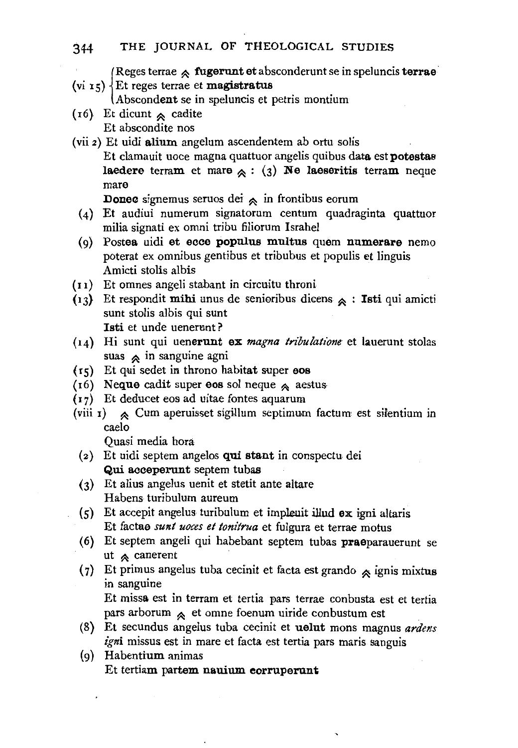(Reges terrae  $\triangle$  fugerunt et absconderunt se in speluncis terrae)

(vi  $15$ ) Et reges terrae et magistratus

{ Abscondent se in speluncis et petris montium

 $(16)$  Et dicunt  $\alpha$  cadite Et abscondite nos

(vii 2) Et uidi alium angelum ascendentem ab ortu solis

Et clamauit uoce magna quattuor angelis quibus data est potestas laedere terram et mare  $\alpha$  : (3) Ne laeseritis terram neque mare

**Donee** signemus seruos dei  $\phi$  in frontibus eorum

- (4) Et audiui numerum signatorum centum quadraginta quattuor milia signati ex omni tribu filiorum Israhel
- (9) Postea uidi et ecce populus multus quem numerare nemo poterat ex omnibus gentibus et tribubus et populis et linguis Amicti stolis albis
- (I 1) Et omnes angeli stabant in circuitu throni
- (13) Et respondit mihi unus de senioribus dicens  $\alpha$  : Isti qui amicti sunt stolis albis qui sunt Isti et unde uenerunt?
- (14) Hi sunt qui uenerunt ex *magna tribulatione* et lauerunt stolas suas  $\otimes$  in sanguine agni
- $(r<sub>5</sub>)$  Et qui sedet in throno habitat super eos
- (16) Neque cadit super eos sol neque  $\otimes$  aestus
- $(17)$  Et deducet eos ad uitae fontes aquarum
- (viii  $r$ )  $\land$  Cum aperuisset sigillum septimum factum est silentium in caelo

Quasi media hora

- (2) Et uidi septem angelos qui stant in conspectu dei Qui acceperunt septem tubas
- (3) Et alius angelus uenit et stetit ante altare Habens turibulum aureum
- (5) Et accepit angelus turibulum et impleuit illud ex igni altaris Et factae *sunt uoces et tonitrua* et fulgura et terrae motus
- (6) Et septem angeli qui habebant septem tubas praeparauerunt se ut  $\&$  canerent
- (7) Et primus angelus tuba cecinit et facta est grando  $\alpha$  ignis mixtus in sanguine Et missa est in terram et tertia pars terrae conbusta est et tertia

pars arborum  $\&$  et omne foenum uiride conbustum est

- (8) Et secundus angelus tuba cecinit et uelut mons magnus *ardens igni* missus est in mare et facta est tertia pars maris sanguis
- (g) Habentium animas Et tertiam partem nauium corruperunt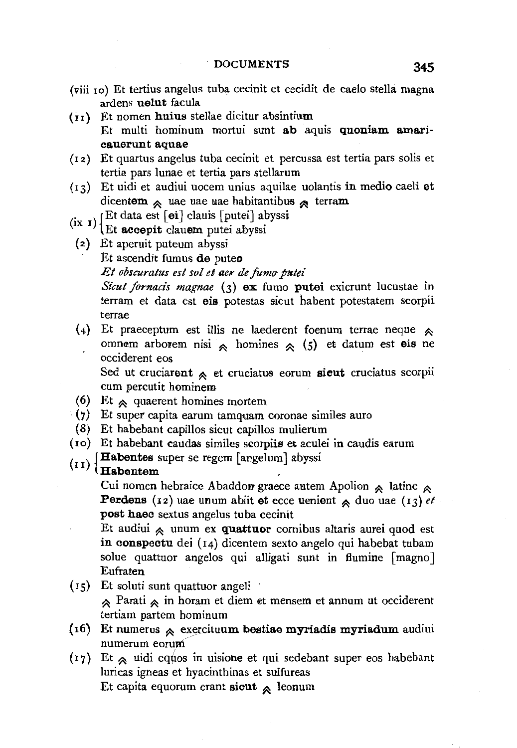- (viii 10) Et tertius angelus tuba cecinit et cecidit de caelo stella magna ardens uelut facula
- $(i)$  Et nomen huius stellae dicitur absintium Et multi hominum mortui sunt ab aquis quoniam amaricauerunt aquae
- $(12)$  Et quartus angelus tuba cecinit et percussa est tertia pars solis et tertia pars lunae et tertia pars stellarum
- $(13)$  Et uidi et audiui uocem unius aquilae uolantis in medio caeli et dicentem  $\alpha$  uae uae habitantibus  $\alpha$  terram
	-
- $(ix_1)$  {Et data est [ $ei$ ] clauis [putei] abyssi $(x_1, x_2)$  {Et accepit clauem putei abyssi
- (z) Et aperuit puteum abyssi Et ascendit fumus de puteo *Et obscuratus est sol et aer de fumo patei Sicut fornacis magnae* (3) ex fumo putei exierunt lucustae in terram et data est eis potestas sicut habent potestatem scorpii

terrae

(4) Et praeceptum est illis ne laederent foenum terrae neque  $\otimes$ omnem arborem nisi  $\infty$  homines  $\infty$  (5) et datum est eis ne occiderent eos

Sed ut cruciarent  $\alpha$  et cruciatus eorum sieut cruciatus scorpii cum percutit hominem

- (6) Et  $\infty$  quaerent homines mortem
- (7) Et super capita earum tamquam coronae similes auro
- (8) Et habebant capillos sicut capillos mulierum
- (Io) Et habebant caudas similes scorpiis et aculei in caudis earum
- (**Habentes** super se regem [angelum] abyssi

# $(i)$   $\frac{1}{\text{Habentem}}$

Cui nomen hebraice Abaddon graece autem Apolion  $\otimes$  latine  $\otimes$ **Perdens** (12) uae unum abiit et ecce uenient  $\phi$  duo uae (13) *et* post haec sextus angelus tuba cecinit

Et audiui  $\&$  unum ex quattuor cornibus altaris aurei quod est in conspectu dei  $(14)$  dicentem sexto angelo qui habebat tubam solue quattuor angelos qui alligati sunt in flumine [magno] Eufraten

 $(15)$  Et soluti sunt quattuor angeli

 $\land$  Parati  $\land$  in horam et diem et mensem et annum ut occiderent tertiam partem hominum

- (16) Et numerus  $\alpha$  exercituum bestiae myriadis myriadum audiui numerum eorum
- $(17)$  Et  $\&$  uidi equos in uisione et qui sedebant super eos habebant luricas igneas et hyacinthinas et sulfureas Et capita equorum erant sicut  $\&$  leonum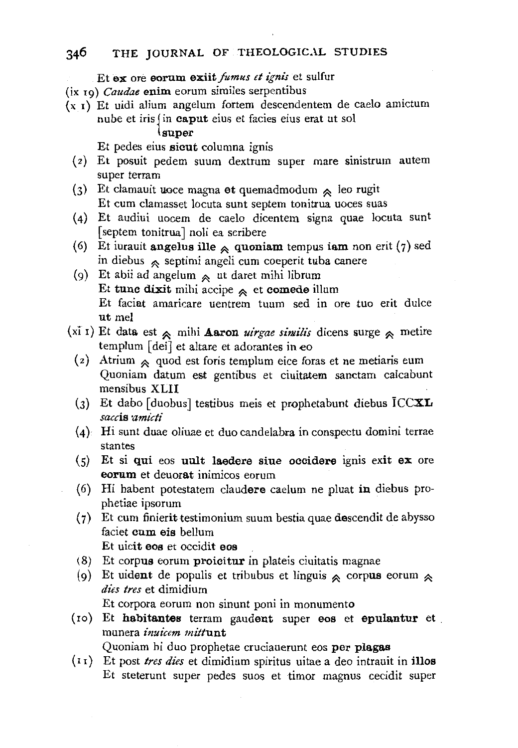### Et ex ore eorum exiit fumus et ignis et sulfur

(ix I9) *Caudae* enim eorum similes serpentibus

(x I) Et uidi alium angelum fortem descendentem de caelo amictum nube et iris {in caput eius et facies eius erat ut sol

#### $\binom{1}{3}$

Et pedes eius sicut columna ignis

- (z) Et posuit pedem suum dextrum super mare sinistrum autem super terram
- (3) Et clamauit uoce magna et quemadmodum  $\otimes$  leo rugit Et cum clamasset locuta sunt septem tonitrua uoces suas
- (4) Et audiui uocem de caelo dicentem signa quae locuta sunt [ septem tonitrua] noli ea scribere
- (6) Et iurauit angelus ille  $\alpha$  quoniam tempus iam non erit (7) sed in diebus  $\alpha$  septimi angeli cum coeperit tuba canere
- (9) Et abii ad angelum  $\sim$  ut daret mihi librum Et tunc dixit mihi accipe  $\alpha$  et comede illum Et faciat amaricare uentrem tuum sed in ore tuo erit dulce ut mel
- (xi I) Et data est  $\otimes$  mihi **Aaron** *uirgae similis* dicens surge  $\otimes$  metire templum [dei] et altare et adorantes in eo
	- (2) Atrium  $\approx$  quod est foris templum eice foras et ne metiaris eum Quoniam datum est gentibus et ciuitatem sanctam calcabunt mensibus XLII
	- (3) Et dabo [duobus] testibus meis et prophetabunt diebus  $\text{ICCXL}$ *saccis ·amicti*
	- (4) Hi sunt duae oliuae ct duo candelabra in conspectu domini terrae stantes
	- $(5)$  Et si qui eos uult laedere siue occidere ignis exit ex ore eorum et deuorat inimicos eorum
	- $(6)$  Hi habent potestatem claudere caelum ne pluat in diebus prophetiae ipsorum
	- ( 7) Et cum finierit testimonium suum bestia quae descendit de abysso faciet cum eis bellum Et uicit eos et occidit eos
	- (8) Et corpus eorum proicitur in plateis ciuitatis magnae
	- (9) Et uident de populis et tribubus et linguis  $\otimes$  corpus eorum  $\otimes$ *dies Ires* et dimidium Et corpora eorum non sinunt poni in monumento
- (Io) Et habitantes terram gaudent super eos et epulantur et

munera *inuicem mittunt*  Quoniam hi duo prophetae cruciauerunt eos per plagas

(I I) Et post *Ires dies* et dimidium spiritus uitae a deo intrauit in illos Et steterunt super pedes suos et timor magnus cecidit super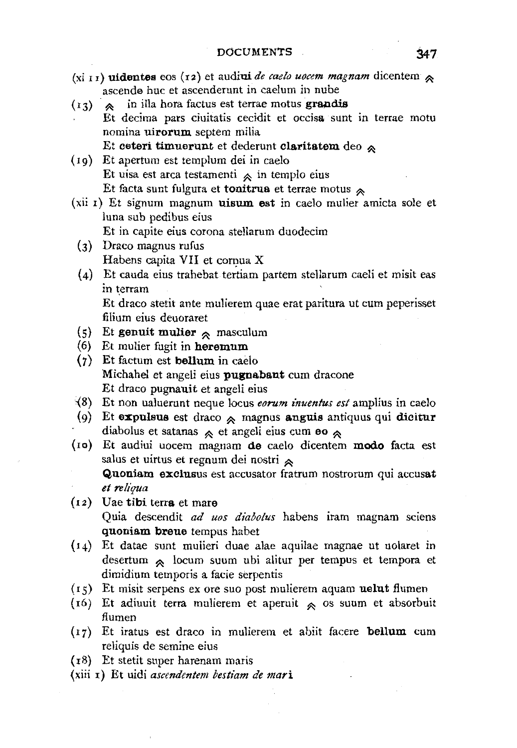- $(x_{i}^{\dagger}1)$  uidentes eos (12) et audiui *de caelo uocem magnam* dicentem  $\sim$ ascende hue et ascenderunt in caelum in nube
- $(13)$   $\&$  in illa hora factus est terrae motus grandis
- Et decima pars ciuitatis cecidit et occisa sunt in terrae motu nomina uirorum septem milia

Et ceteri timuerunt et dederunt claritatem deo  $\otimes$ 

- (19) Et apertum est templum dei in caelo Et uisa est area testamenti  $\alpha$  in templo eius Et facta sunt fulgura et tonitrua et terrae motus  $\infty$
- (xii 1) Et signum magnum uisum est in caelo mulier amicta sole et luna sub pedibus eius
	- Et in capite eius corona stellarum duodecim
	- (3) Draco magnus rufus Habens capita VII et cornua X
	- (4) Et cauda eius trahebat tertiam partem stellarum caeli et misit eas in terram

Et draco stetit ante mulierem quae erat paritura ut cum peperisset filium eius deuoraret

- (5) Et genuit mulier  $\alpha$  masculum
- (6) Et mulier fugit in heremum
- (7} Et factum est bellum in caelo Michahel et angeli eius pugnabant cum dracone Et draco pugnauit et angeli eius
- o(8) Et non ualuerunt neque locus *eorum inuentus est* amplius in caelo
- (9) Et expulsus est draco  $\alpha$  magnus anguis antiquus qui dicitur diabolus et satanas  $\alpha$  et angeli eius cum eo  $\alpha$
- (1o) Et audiui uocem magnam de caelo dicentem modo facta est salus et uirtus et regnum dei nostri  $\approx$ Quoniam exclusus est accusator fratrum nostrorum qui accusat *et reliqua*
- $(12)$  U ae tibi terra et mare Quia descendit *ad uos diabolus* habens iram magnam sciens quoniam breue tempus habet
- (I 4) Et datae sunt mulieri duae alae aquilae magnae ut uolaret in desertum  $\otimes$  locum suum ubi alitur per tempus et tempora et dimidium temporis a facie serpentis
- (I 5) Et misit serpens ex ore suo post mulierem aquam uelut flumen
- (16) Et adiuuit terra mulierem et aperuit  $\otimes$  os suum et absorbuit flumen
- $(17)$  Et iratus est draco in mulierem et abiit facere bellum cum reliquis de semine eius
- (I 8) Et stetit super harenam maris
- (xiii I) Et uidi *ascendentem bestiam de mari*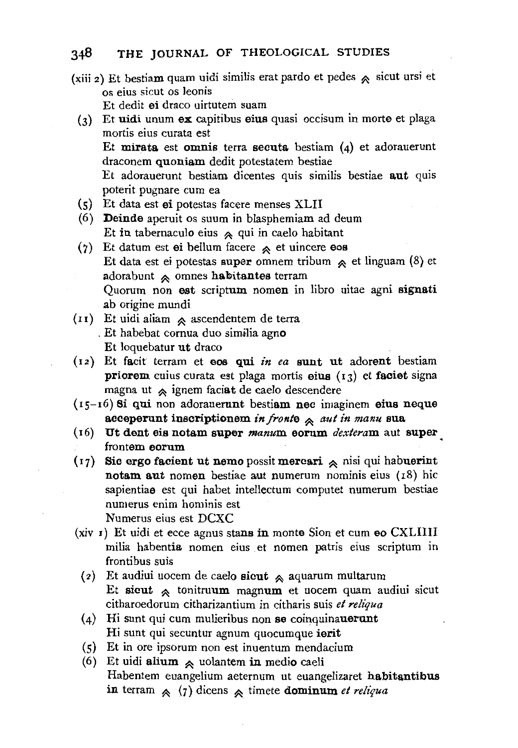- (xiii 2) Et bestiam quam uidi similis erat pardo et pedes  $\otimes$  sicut ursi et os eius sicut os leonis Et dedit ei draco uirtutem suam
	- (3) Et uidi unum  $ex$  capitibus eius quasi occisum in morte et plaga mortis eius curata est Et mirata est omnis terra secuta bestiam (4) et adorauerunt draconem quoniam dedit potestatem bestiae Et adorauerunt bestiam dicentes quis similis bestiae aut quis poterit pugnare cum ea
	- (S) Et data est ei potestas facere menses XLII
	- ( 6) Deinde aperuit os suum in blasphemiam ad deum Et in tabernaculo eius  $\alpha$  qui in caelo habitant
	- (7) Et datum est ei bellum facere  $\land$  et uincere eos Et data est ei potestas super omnem tribum  $\land$  et linguam (8) et adorabunt  $\triangle$  omnes habitantes terram Quorum non est scriptum nomen in libro uitae agni signati ab origine mundi
- (II) Et uidi aliam  $\land$  ascendentem de terra . Et habebat cornua duo similia agno Et loquebatur ut draco
- (I 2) Et facit terram et eos qui *in ea* sunt ut adorent bestiam priorem cuius curata est plaga mortis eius  $(13)$  et faciet signa magna ut  $\sim$  ignem faciat de caelo descendere
- (rs-I6} Si qui non adorauerunt bestiam nee imaginem eius neque acceperunt inscriptionem *in fronte*  $\alpha$  *aut in manu* sua
- (r6) Ut dent eis notam super *manum* eorum *dexteram* aut super. frontem eorum
- (17) Sic ergo facient ut nemo possit mercari  $\alpha$  nisi qui habuerint notam aut nomen bestiae aut numerum nominis eius (r8) hie sapientiae est qui habet intellectum computet numerum bestiae numerus enim hominis est Numerus eius est DCXC
- (xiv I) Et uidi et ecce agnus stans in monte Sion et cum eo CXLIIII milia habentia nomen eius et nomen patris eius scriptum in frontibus suis
	- (2) Et audiui uocem de caelo sicut  $\land$  aquarum multarum Et sicut  $\alpha$  tonitruum magnum et uocem quam audiui sicut citharoedorum citharizantium in citharis suis *et reliqua*
	- (4) Hi sunt qui cum mulieribus non se coinquinauerunt Hi sunt qui secuntur agnum quocumque ierit
	- (5) Et in ore ipsorum non est inuentum mendacium
	- (6) Et uidi alium  $\land$  uolantem in medio caeli Habentem euangelium aeternum ut euangelizaret habitantibus in terram  $\land$  (7) dicens  $\land$  timete dominum *et reliqua*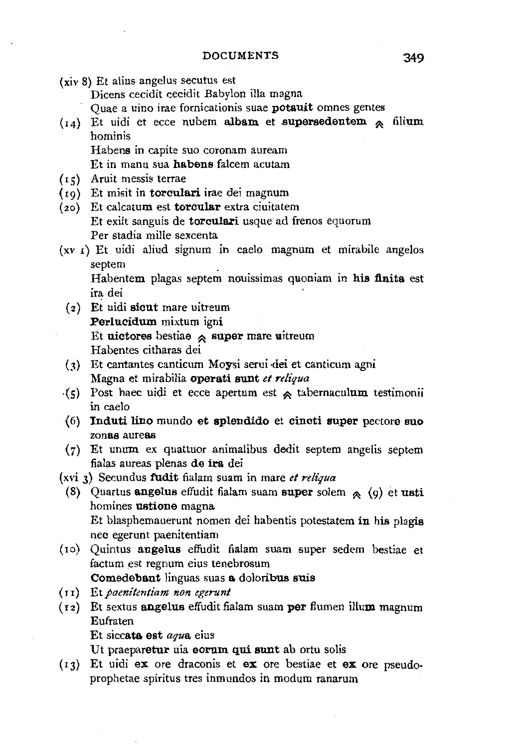(xiv 8) Et alius angelus secutus est

Dicens cecidit cecidit Babylon illa magna

Quae a uino irae fornicationis suae potauit omnes gentes

(14) Et uidi et ecce nubem albam et supersedentem  $\alpha$  filium hominis

Habens in capite suo coronam auream

Et in manu sua habens falcem acutam

- (I 5) Aruit messis terrae
- {I9) Et misit in torculari irae dei magnum
- (2o) Et calcatum est torcular extra ciuitatem Et exiit sanguis de torculari usque ad frenos equorum Per stadia mille sexcenta
- (xv I) Et uidi aliud signum in caelo magnum et mirabile angelos septem .

Habentem plagas septem nouissimas quoniam in his finita est ira dei

- (2) Et uidi sicut mare uitreum Perlucidum mixtum igni Et uictores bestiae  $\alpha$  super mare uitreum Habentes citharas dei
- $(3)$  Et cantantes canticum Moysi serui dei et canticum agni Magna et mirabilia operati sunt et reliqua
- $\cdot$ (5) Post haec uidi et ecce apertum est  $\land$  tabernaculum testimonii in caelo
- (6) Induti lino mundo et splendido et cincti super pectore suo zonas aureas
- (7) Et unum ex quattuor animalibus dedit septem angelis septem fialas aureas plenas de ira dei

(xvi 3) Secundus fudit fialam suam in mare *et reliqua* 

(8) Quartus angelus effudit fialam suam super solem  $\land$  (9) et usti homines ustione magna Et blasphemauerunt nomen dei habentis potestatem in his plagis

nee egerunt paenitentiam

(ro) Quintus angelus effudit fialam suam super sedem bestiae et factum est regnum eius tenebrosum

Comedebant linguas suas a. doloribus suis

- (u) *Etpaenitentiam non egerunt*
- (12) Et sextus angelus effudit fialam suam per flumen illum magnum Eufraten

Et siccata est *aqua* eius

Ut praeparetur uia eorum qui sunt ab ortu solis

 $(13)$  Et uidi ex ore draconis et ex ore bestiae et ex ore pseudoprophetae spiritus tres inmundos in modum ranarum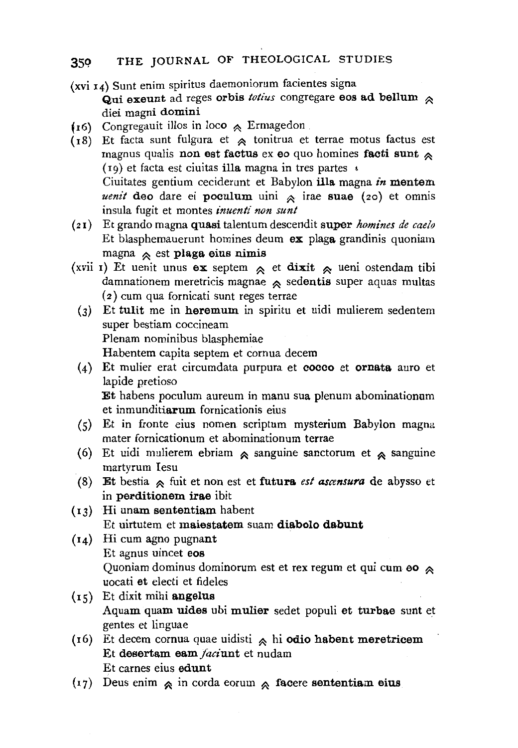(xvi 14) Sunt enim spiritus daemoniorum facientes signa Qui exeunt ad reges orbis *totius* congregare eos ad bellum  $\alpha$ diei magni domini

- $\{x6\}$  Congregauit illos in loco  $\sim$  Ermagedon
- $(18)$  Et facta sunt fulgura et  $\alpha$  tonitrua et terrae motus factus est magnus qualis non est factus ex eo quo homines facti sunt  $\otimes$ ( 19) et facta est ciuitas illa magna in tres partes • Ciuitates gentium ceciderunt et Babylon illa magna *in* mentem *uenit* deo dare ei poculum uini  $\alpha$  irae suae (20) et omnis insula fugit et montes *inuenti non sunt*
- (21) Et grande magna quasi talentum descendit super *homines de caelo*  Et blasphemauerunt homines deum ex plaga grandinis quoniam magna  $\alpha$  est plaga eius nimis
- (xvii I) Et uenit unus ex septem  $\alpha$  et dixit  $\alpha$  ueni ostendam tibi damnationem meretricis magnae  $\infty$  sedentis super aquas multas ( 2) cum qua fornicati sunt reges terrae
	- (3) Et tulit me in heremum in spiritu et uidi mulierem sedentem super bestiam coccineam Plenam nominibus blasphemiae Habentem capita septem et cornua decem
	- (4) Et mulier erat circumdata purpura et cocco et ornata auro et lapide pretioso Et habens poculum aureum in manu sua plenum abominationum et inmunditiarum fornicationis eius
	- (5) Et in fronte eius nomen scriptum mysterium Babylon magna mater fornicationum et abominationum terrae
	- (6) Et uidi mulierem ebriam  $\alpha$  sanguine sanctorum et  $\alpha$  sanguine martyrum Iesu
	- (8) Et bestia  $\otimes$  fuit et non est et futura *est ascensura* de abysso et in perditionem irae ibit
- $(1,3)$  Hi unam sententiam habent Et uirtutem et maiestatem suam diabolo dabunt
- (I4) Hi cum agno pugnant Et agnus uincet eos Quoniam dominus dominorum est et rex regum et qui cum eo  $\otimes$ uocati et electi et fideles
- (IS) Et dixit mihi angelus Aquam quam uides ubi mulier sedet populi et turbae sunt et gentes et linguae
- (16) Et decem cornua quae uidisti  $\alpha$  hi odio habent meretricem Et desertam eam *faci*unt et nudam Et carnes eius edunt
- (17) Deus enim  $\alpha$  in corda eorum  $\alpha$  facere sententiam eius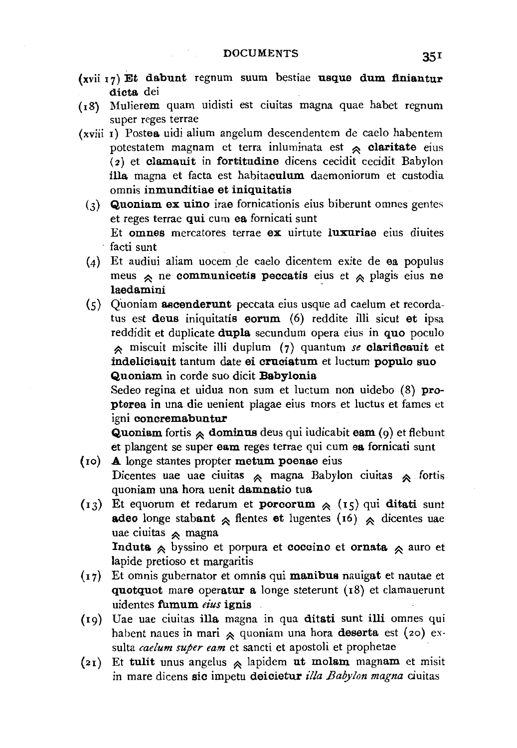- $(xvii 17)$  Et dabunt regnum suum bestiae usque dum finiantur dicta dei
- ( <sup>1</sup> 8) Mulierem quam uidisti est ciuitas magna quae habet regnum super reges terrae
- (xviii 1) Postea uidi alium angelum descendentem de caelo habentem potestatem magnam et terra inluminata est  $\alpha$  claritate eius  $(z)$  et clamauit in fortitudine dicens cecidit cecidit Babylon ilia magna et facta est habitaculum daemoniorum et custodia omnis inmunditiae et iniquitatis
	- (3) Quoniam ex uino irae fornicationis eius biberunt omnes gentes et reges terrae qui cum ea fornicati sunt Et omnes mercatores terrae ex uirtute luxuriae eius diuites facti sunt
	- (4) Et audiui aliam uocem \_de caelo dicentem exite de ea populus meus  $\alpha$  ne communicetis peccatis eius et  $\alpha$  plagis eius ne laedamini '
	- (5) Quoniam ascenderunt peccata eius usque ad caelum et recordatus est deus iniquitatis eorum (6) reddite illi sicut et ipsa reddidit et duplicate dupla secundum opera eius in quo poculo <sup>~</sup>miscuit miscite illi duplum (7) quantum *se* clarifica.uit et indeliciauit tantum date ei cruciatum et luctum populo suo Quoniam in corde suo dicit Babylonia

Sedeo regina et uidua non sum et luctum non uidebo (8) propterea in una die uenient plagae eius mors et luctus et fames et igni concremabuntur

Quoniam fortis  $\triangle$  dominus deus qui iudicabit eam (9) et flebunt et plangent se super eam reges terrae qui cum ea fornicati sunt

- (1o) A Ionge stantes propter metum poenae eius Dicentes uae uae ciuitas  $\land$  magna Babylon ciuitas  $\land$  fortis quoniam una hora uenit damnatio tua
- (13) Et equorum et redarum et **porcorum**  $\alpha$  (15) qui ditati sunt adeo longe stabant  $\alpha$  flentes et lugentes (16)  $\alpha$  dicentes uae uae ciuitas  $\sim$  magna Induta  $\land$  byssino et porpura et coccino et ornata  $\land$  auro et

lapide pretioso et margaritis

- (17) Et omnis gubernator et omnia qui manibus nauigat et nautae et quotquot mare operatur a Ionge steterunt (18) et clamauerunt uidentes fumum *eius* ignis
- (19) Uae uae ciuitas ilia magna in qua ditati sunt illi omrres qui habent naues in mari  $\otimes$  quoniam una hora deserta est (20) exsulta *caelum super eam* et sancti et apostoli et prophetae
- (21) Et tulit unus angelus  $\alpha$  lapidem ut molam magnam et misit in mare dicens sic impetu deicietur *illa Babylon magna* ciuitas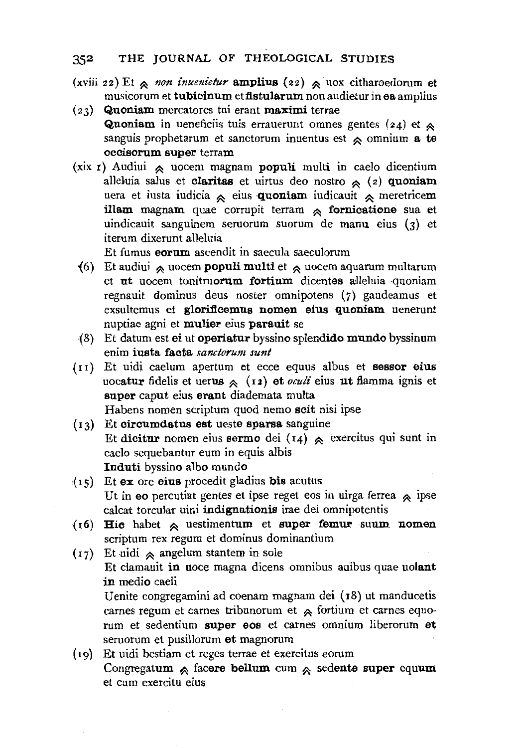- (xviii 22) Et  $\otimes$  *non inuenietur* amplius (22)  $\otimes$  uox citharoedorum et musicorum et tubicinum et fistularum non audietur in ea amplius
- (23) Quoniam mercatores tui erant maximi terrae Quoniam in ueneficiis tuis errauerunt omnes gentes (24) et  $\otimes$ sanguis prophetarum et sanctorum inuentus est  $\alpha$  omnium a te occisorum super terram
- (xix 1) Audiui  $\&$  uocem magnam populi multi in caelo dicentium alleluia salus et claritas et uirtus deo nostro  $\alpha$  (2) quoniam uera et iusta iudicia  $\alpha$  eius quoniam iudicauit  $\alpha$  meretricem illam magnam quae corrupit terram  $\alpha$  fornicatione sua et uindicauit sanguinem seruorum suorum de manu eius (3) et iterum dixerunt alleluia

Et fumus eorum ascendit in saecula saeculorum

- (6) Et audiui  $\approx$  uocem populi multi et  $\approx$  uocem aquarum multarum et ut uocem tonitruorum fortium dicentes alleluia ·quoniam regnauit dominus deus noster omnipotens (7) gaudeamus et exsultemus et glorificemus nomen eius quoniam uenerunt nuptiae agni et mulier eius parauit se
- (8) Et datum est ei ut operiatur byssino splendido mundo byssinum enim iusta facta *sanctorum sun/*
- $(1)$  Et uidi caelum apertum et ecce equus albus et sessor eius uocatur fidelis et uerus  $\alpha$  (12) et *oculi* eius ut flamma ignis et super caput eius erant diademata multa Habens nomen scriptum quod nemo scit nisi ipse
- $(13)$  Et circumdatus est ueste sparsa sanguine Et dicitur nomen eius sermo dei  $(14)$   $\land$  exercitus qui sunt in caelo sequebantur eum in equis albis Induti byssino albo mundo
- '(15) Et ex ore eius procedit gladius bis acutus Ut in eo percutiat gentes et ipse reget eos in uirga ferrea  $\otimes$  ipse calcat torcular uini indignationis irae dei omnipotentis
- ( $r6$ ) Hie habet  $\alpha$  uestimentum et super femur suum nomen scriptum rex regum et dominus dominantium
- $(17)$  Et uidi  $\otimes$  angelum stantem in sole Et clamauit in uoce magna dicens omnibus auibus quae uolant in medio caeli Uenite congregamini ad coenam magnam dei (18) ut manducetis carnes regum et carnes tribunorum et  $\otimes$  fortium et carnes equorum et sedentium super eos et carnes omnium liberorum et seruorum et pusillorum et magnorum
- (I9) Et uidi bestiam et reges terrae et exercitus eorum Congregatum  $\alpha$  facere bellum cum  $\alpha$  sedente super equum et cum exercitu eius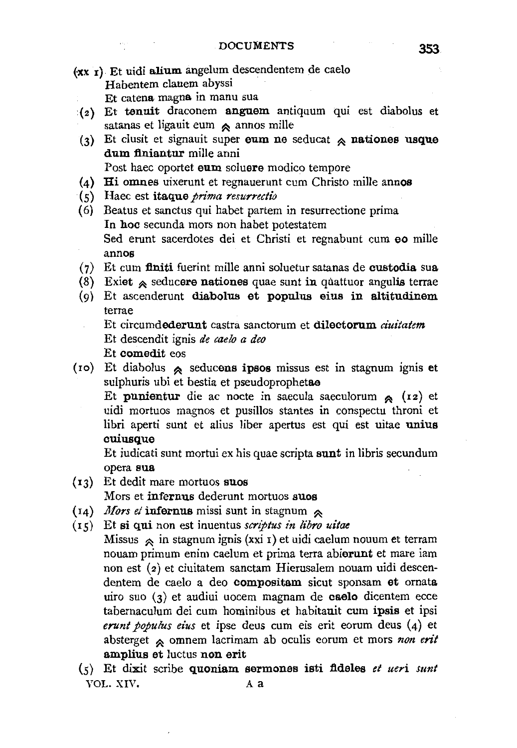- ( <sup>2</sup> ) Et tenuit draconem anguem antiquum qui est diabolus et satanas et ligauit eum  $\land$  annos mille
- (3) Et clusit et signauit super eum ne seducat  $\alpha$  nationes usque dum finiantur mille anni Post haec oportet eum soluere modico tempore
- (4) Hi omnes uixerunt et regnauerunt cum Christo mille annos
- (5) Haec est itaque *prima resurrectio*
- ( 6) Beatus et sanctus qui habet partem in resurrectione prima In hoc secunda mors non habet potestatem Sed erunt sacerdotes dei et Christi et regnabunt cum eo mille an nos
- $(7)$  Et cum finiti fuerint mille anni soluetur satanas de custodia sua
- (8) Exiet  $\triangle$  seducere nationes quae sunt in quattuor angulis terrae
- (9) Et ascenderunt diabolus et populus eius in altitudinem terrae

Et circumdederunt castra sanctorum et dilectorum *ciuitatem*  Et descendit ignis *de caelo a deo* 

Et comedit eos

(10) Et diabolus  $\alpha$  seducens ipsos missus est in stagnum ignis et sulphuris ubi et bestia et pseudoprophetae Et punientur die ac nocte in saecula saeculorum  $\approx$  (12) et uidi mortuos magnos et pusillos stantes in conspectu throni et libri aperti sunt et alius liber apertus est qui est uitae unius cui usque

Et iudicati sunt mortui ex his quae scripta sunt in libris secundum opera sua

(13) Et dedit mare mortuos suos

Mors et infernus dederunt mortuos suos

- $(14)$  *Mors et* infernus missi sunt in stagnum  $\infty$
- (15) Et si qui non est inuentus *scriptus in libro uitae* 
	- Missus  $\alpha$  in stagnum ignis (xxi 1) et uidi caelum nouum et terram nouam primum enim caelum et prima terra abierunt et mare iam non est (2) et ciuitatem sanctam Hierusalem nouam uidi descendentem de caelo a deo compositam sicut sponsam et ornata uiro suo  $(3)$  et audiui uocem magnam de caelo dicentem ecce tabernaculum dei cum hominibus et habitauit cum ipsis et ipsi *erunt populus eius* et ipse deus cum eis erit eorum deus (4) et absterget ~ omnem lacrimam ab oculis eorum et mors *non erit*  amplius et luctus non erit
	- (5) Et dixit scribe quoniam sermones isti fl.deles *et ueri sunt*  VOL. XIV. A a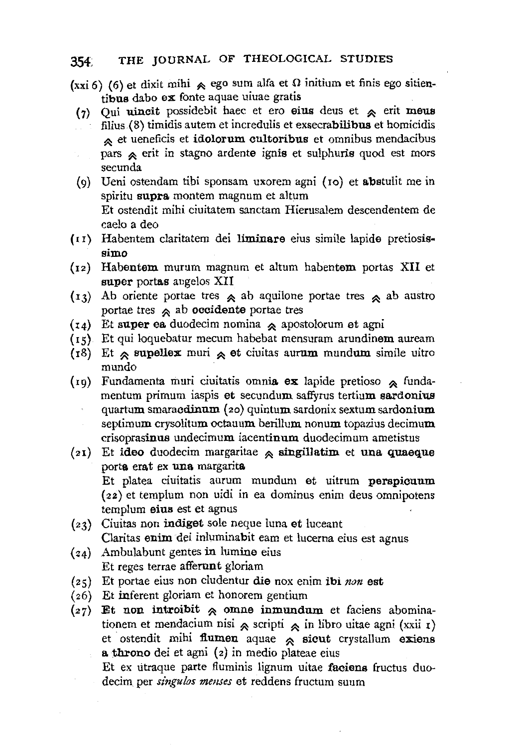- (xxi 6) (6) et dixit mihi  $\otimes$  ego sum alfa et  $\Omega$  initium et finis ego sitientibus dabo ex fonte aquae uiuae gratis
- (7) Qui uincit possidebit haec et ero eius deus et  $\alpha$  erit meus filius (8) timidis autem et incredulis et exsecrabilibus et homicidis <sup>~</sup>et ueneficis et idolorum cultoribus et omnibus mendacibus pars  $\alpha$  erit in stagno ardente ignis et sulphuris quod est mors secunda
- (9) Ueni ostendam tibi sponsam uxorem agni (10) et abstulit me in spiritu supra montem magnum et altum Et ostendit mihi ciuitatem sanctam Hierusalem descendentem de caelo a deo
- (I I) Habentem claritatem dei liminare eius simile lapide pretiosis· simo
- ( 12) Habentem murum magnum et altum habentem portas XII et super portas angelos XII
- (13) Ab oriente portae tres  $\alpha$  ab aquilone portae tres  $\alpha$  ab austro portae tres  $\land$  ab occidente portae tres
- (14) Et super ea duodecim nomina  $\alpha$  apostolorum et agni
- $(15)$  Et qui loquebatur mecum habebat mensuram arundinem auream
- (18) Et  $\alpha$  supellex muri  $\alpha$  et ciuitas aurum mundum simile uitro mundo
- (19) Fundamenta muri ciuitatis omnia  $ex$  lapide pretioso  $\otimes$  fundamentum primum iaspis et secundum saffyrus tertium sardonius quartum smaracdinum (20) quintum sardonix sextum sardonium septimum crysolitum octauum berillum nonum topazius decimum crisoprasinus undecimum iacentinum duodecimum ametistus
- (21) Et ideo duodecim margaritae  $\alpha$  singillatim et una quaeque porta erat ex una margarita Et platea ciuitatis aurum mundum et uitrum perspicuum (22) et templum non uidi in ea dominus enim deus omnipotens templum eius est et agnus
- (23) Ciuitas non indiget sole neque luna et luceant Claritas enim dei inluminabit eam et lucerna eius est agnus
- (24) Ambulabunt gentes in lumine eius Et reges terrae afferunt gloriam
- (25) Et portae eius non cludentur die nox enim ibi *non* est
- (26) Et inferent gloriam et honorem gentium
- (27) Et non introibit  $\alpha$  omne inmundum et faciens abominationem et mendacium nisi  $\alpha$  scripti  $\alpha$  in libro uitae agni (xxii 1) et ostendit mihi flumen aquae  $\alpha$  sicut crystallum exiens a. throno dei et agni (2) in medio plateae eius

Et ex utraque parte fluminis lignum uitae faciens fructus duodecim per *singulos menses* et reddens fructum suum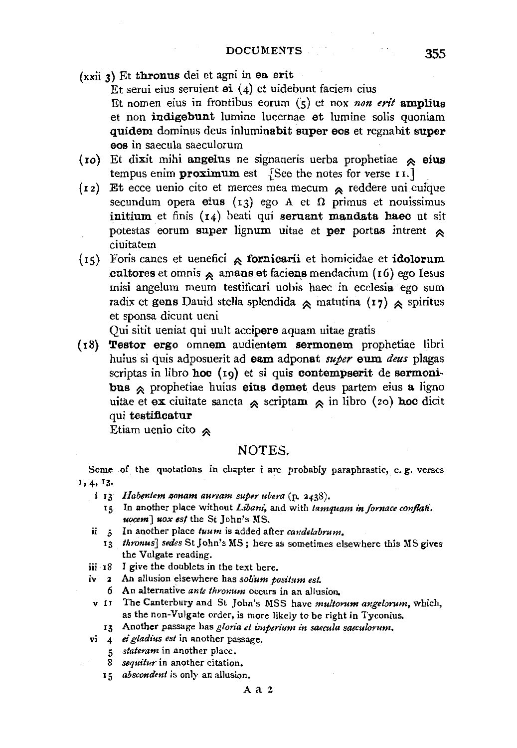- $(xxi)$  Et thronus dei et agni in ea erit
	- Et serui eius seruient ei  $(4)$  et uidebunt faciem eius Et nomen eius in frontibus eorum  $\binom{1}{5}$  et nox *non erit* amplius et non indigebunt lumine lucernae et lumine solis quoniam quidem dominus deus inluminabit super eos et regnabit super eos in saecula saeculorum
- (ro) Et dixit mihi angelus ne signaueris uerba prophetiae  $\sim$  eius tempus enim **proximum** est [See the notes for verse 11.]
- ( $r$ 2) Et ecce uenio cito et merces mea mecum  $\alpha$  reddere uni cuique secundum opera eius (13) ego A et  $\Omega$  primus et nouissimus initium et finis  $(14)$  beati qui seruant mandata haec ut sit potestas eorum super lignum uitae et per portas intrent  $\otimes$ ciuitatem
- (15) Foris canes et uenefici  $\alpha$  fornicarii et homicidae et idolorum cultores et omnis  $\alpha$  amans et faciens mendacium (16) ego Iesus misi angelum meum testificari uobis haec in ecclesia ego sum radix et gens Dauid stella splendida  $\land$  matutina (17)  $\land$  spiritus et sponsa dicunt ueni

Qui sitit ueniat qui uult accipere aquam uitae gratis

(r8) Testor ergo omnem audientem sermonem prophetiae libri huius si quis adposuerit ad eam adponat *super* eum *deus* plagas scriptas in libro hoc  $(19)$  et si quis contempserit de sermonibus  $\alpha$  prophetiae huius eius demet deus partem eius a ligno uitae et ex ciuitate sancta  $\alpha$  scriptam  $\alpha$  in libro (20) hoc dicit qui testificatur

Etiam uenio cito  $\infty$ 

#### NOTES.

Some of the quotations in chapter i are probably paraphrastic, e. g. verses I, 4, 13.

- i 13 *Habentem zonam auream super ubera* (p. 2438).
	- 15 In another place without *Libani,* and with *tam quam in fornace conjlati. uocem] uox est* the StJohn's MS.
- ii 5 In another place *tuum* is added after *candelabrum,* 
	- 13 thronus] sedes St John's MS; here as sometimes elsewhere this MS gives the Vulgate reading.
- iii 18 I give the doublets in the text here.
- iv 2 An allusion elsewhere has *solium positum est.* 
	- 6 An alternative *ante thronum* occurs in an allusion,
- <sup>v</sup>II The Canterbury and St John's MSS have *multorum angelorum,* which, as the non-Vulgate order, is more likely to be right in Tyconius.
	- <sup>I</sup>3 Another passage has *gloria et imperium in saecula saeculorum.*
- vi *4 ei gladius est* in another passage.
	- 5 *stateram* in another place.
	- 8 *sequitur* in another citation.
	- 15 *abscondent* is only an allusion.

Aa2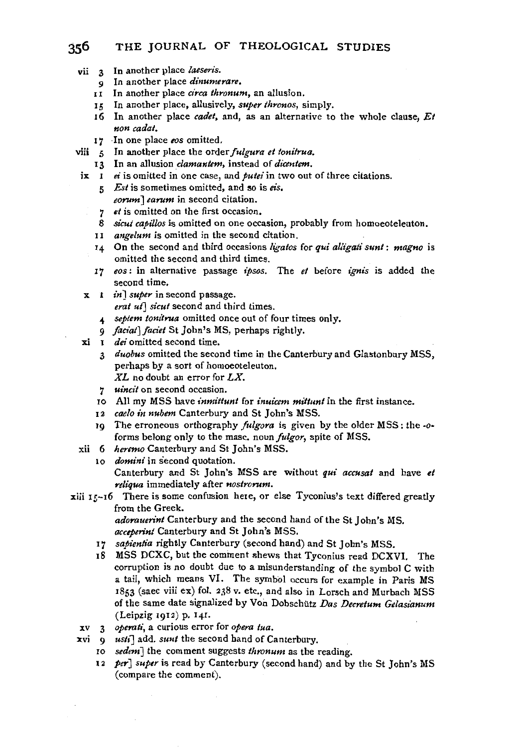- vii 3 In another place *laeseris.* 
	- 9 In another place *dinumerare.*
	- 11 In another place *circa thronum,* an allusion.
	- 15 In another place, allusively, *super thronos,* simply.
	- <sup>I</sup>6 In another place *cadet,* and, as an alternative to the whole clause, *Et non cadat.*
	- <sup>I</sup>7 In one place *eos* omitted.
- viii 5 In another place the order *fulgura et tonitrua.* 
	- <sup>I</sup>3 In an allusion *clamantem,* instead of *dicentem.*
- ix I *ei* is omitted in one case, and *putei* in two out of three citations.
	- 5 *Est* is sometimes omitted, and so is *eis, eorum] earum* in second citation.
	- 7 *et* is omitted on the first occasion.
	- 8 *sicut capillos* is omitted on one occasion, probably from homoeoteleuton.
	- I I *angelum* is omitted in the second citation.
	- I4 On the second and third occasions *ligatos* for *qui alligati sunt: magno* is omitted the second and third times.
	- <sup>I</sup>7 *eos* : in alternative passage *ipsos.* The *et* before *ignis* is added the second time.
- x 1 *in] super* in second passage.
	- *erat ut] sicut* second and third times.
	- 4 *septem tonitrua* omitted once out of four times only.
	- 9 *faciat]faciet* StJohn's MS, perhaps rightly.
- xi *dei* omitted second time.
	- 3 *duobus* omitted the second time in the Canterbury and Glastonbury MSS, perhaps by a sort of homoeoteleuton. *XL* no doubt an error for *LX.* 
		-
	- 7 *uincit* on second occasion.
	- 10 All my MSS have *inmittunt* for *inuicem mittunt* in the first instance.
	- 12 *caelo in nubem* Canterbury and StJohn's MSS.
	- 19 The erroneous orthography *fulgora* is given by the older MSS: the *-a*forms belong only to the masc. *nounfulgor,* spite of MSS.
- xii 6 *heremo* Canterbury and StJohn's MSS.
	- IO *domini* in second quotation. Canterbury and St John's MSS are without *qui accusal* and have *et reliqua* immediately after *nostrorum.*
- xiii 1£-16 There is some confusion he1e, or else Tyconius's text differed greatly from the Greek.

*adorauerint* Canterbury and the second hand of the StJohn's MS. *acceperint* Canterbury and StJohn's MSS.

- 17 *sapientia* rightly Canterbury (second hand) and St John's MSS.
- I8 MSS DCXC, but the comment shews that Tyconius read DCXVI. The corruption is no doubt due to a misunderstanding of the symbol C with a tail, which means VI. The symbol occurs for example in Paris MS 1853 (saec viii ex) fol. 238 v. etc., and also in Lorsch and Murbach MSS of the same date signalized by Von Dobschutz *Das Decretum Gelasianum*  (Leipzig I912) p. I4I.
- xv 3 *operati,* a curious error for *opera tua.*
- xvi 9 *ust1]* add. *sunt* the second hand of Canterbury.
	- IO *sedem]* the comment suggests *thronum* as the reading.
		- 12 *per] super* is read by Canterbury (second hand) and by the St John's MS (compare the comment).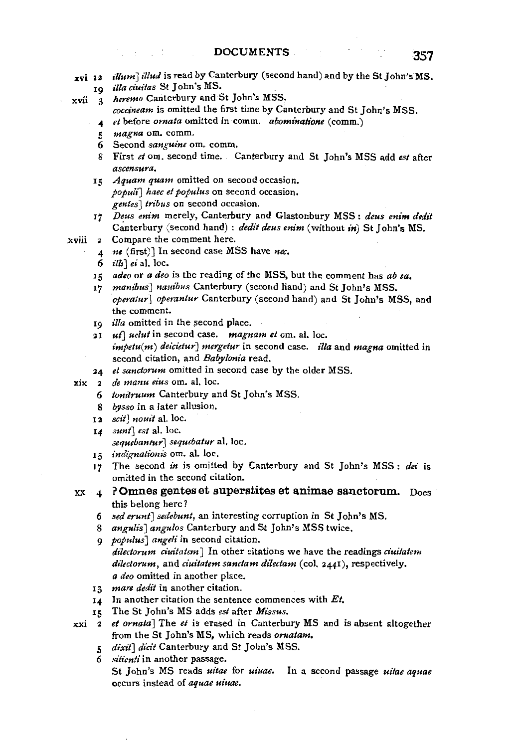DOCUMENTS **357** 

- **xvi**  12 *ilium] illud* is read by Canterbury (second hand) and by the StJohn's MS. 19 *illa ciuitas* St John's MS.
- $xvii$   $3$  *heremo* Canterbury and St John's MSS.
	- *coccineam* is omitted the first time by Canterbury and StJohn's MSS.
	- **4**  *et* before *ornata* omitted in comm. *abominatione* (comm.)
	- 5 *magna* om. comm.
	- 6 Second *sanguine* om. comm.
	- 8 First *et* om. second time. Canterbury anu St John's MSS add *est* after *ascensura.*
	- 15 *A quam quam* omitted on second occasion. *populi] haec et populus* on second occasion. *gentes* J *tribus* on second occasion.
	- 17 *Deus enim* merely, Canterbury and Glastonbury MSS: *deus enim dedit*  Canterbury (second hand) : *dedit deus enim* (without in) St John's MS.
- xviii Compare the comment here.
	- 4 *ne* (first)] In second case MSS have *nee.*
	- 6 *illt] ei* a!. Joe.
	- 15 *adeo* or *a deo* is the reading of the MSS, but the comment has *ab ea.*
	- 17 *manibus] nauibus* Canterbury (second liand) and StJohn's MSS. *operatur] operantur* Canterbury (second hand) and StJohn's MSS, and the comment.
	- 19 *illa* omitted in the second place.
	- *n ut] uelut* in second case. *magnam et* om. a!. Joe. *impetu(m) deicietur] mergefur* in second case. *ilia* and *magna* omitted in second citation, and *Babylonia* read.
	- 24 *et sanctorum* omitted in second case by the older MSS.
	- xix 2 *de mauu eius* om. a!. Joe.
		- 6 *tonitruum* Canterbury and StJohn's MSS.
		- 8 *bysso* in a later allusion.
		- 12 *scit] nouit* a!. Joe.
		- 14 *sunt] est* a!. Joe.
			- *sequebantur] sequebatur* a!. Joe.
		- 15 *indignationis* om. a!. Joe.
		- 17 The second *in* is omitted by Canterbury and St John's MSS : *dei* is omitted in the second citation.
	- XX 4 ? Omnes gentes et superstites et animae sanctorum. Does this belong here?
		- 6 *sederunt] sedebunt,* an interesting corruption in St John's MS.
		- 8 angulis] angulos Canterbury and St John's MSS twice.
		- 9 *populus] angeli* in second citation.
		- *dilectorum ciuitatem]* In other citations we have the readings *ciuitatem dileciorum,* and *ciuitatem sanctam dilectam* (col. 2441), respectively. *a deo* omitted in another place.
		- 13 *mare dedit* in another citation.
		- 14 In another citation the sentence commences with *Et.*
		- 15 The StJohn's MS adds *est* after *Missus.*
- xxi 2 *et ornata]* The *et* is erased in Canterbury MS and is absent altogether from the StJohn's MS, which reads *ornatam.* 
	- dixit] dicit Canterbury and St John's MSS.
	- 6 *sitienti* in another passage.

St John's MS reads *uitae* for *uiuae.* In a second passage *uitae aquae*  occurs instead of *aquae uiuae.*